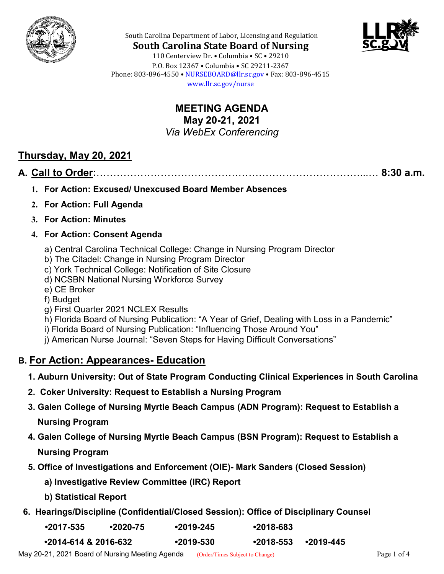



**South Carolina State Board of Nursing** 110 Centerview Dr. • Columbia • SC • 29210 P.O. Box 12367 • Columbia • SC 29211-2367 Phone: 803-896-4550 • [NURSEBOARD@llr.sc.gov](mailto:contactllr@llr.sc.gov) • Fax: 803-896-4515 [www.llr.sc.gov/nurse](http://www.llr.sc.gov/nurse)

South Carolina Department of Labor, Licensing and Regulation

**MEETING AGENDA May 20-21, 2021** *Via WebEx Conferencing*

# **Thursday, May 20, 2021**

## **A. Call to Order:**……………………………………………………………………...… **8:30 a.m.**

- **1. For Action: Excused/ Unexcused Board Member Absences**
- **2. For Action: Full Agenda**
- **3. For Action: Minutes**

### **4. For Action: Consent Agenda**

- a) Central Carolina Technical College: Change in Nursing Program Director
- b) The Citadel: Change in Nursing Program Director
- c) York Technical College: Notification of Site Closure
- d) NCSBN National Nursing Workforce Survey
- e) CE Broker
- f) Budget
- g) First Quarter 2021 NCLEX Results
- h) Florida Board of Nursing Publication: "A Year of Grief, Dealing with Loss in a Pandemic"
- i) Florida Board of Nursing Publication: "Influencing Those Around You"
- j) American Nurse Journal: "Seven Steps for Having Difficult Conversations"

## **B. For Action: Appearances- Education**

- **1. Auburn University: Out of State Program Conducting Clinical Experiences in South Carolina**
- **2. Coker University: Request to Establish a Nursing Program**
- **3. Galen College of Nursing Myrtle Beach Campus (ADN Program): Request to Establish a**

**Nursing Program**

**4. Galen College of Nursing Myrtle Beach Campus (BSN Program): Request to Establish a**

**Nursing Program**

- **5. Office of Investigations and Enforcement (OIE)- Mark Sanders (Closed Session)**
	- **a) Investigative Review Committee (IRC) Report**
	- **b) Statistical Report**
- **6. Hearings/Discipline (Confidential/Closed Session): Office of Disciplinary Counsel**

| $•2017-535$ | $•2020 - 75$ | $•2019-245$ | $•2018-683$ |
|-------------|--------------|-------------|-------------|
|             |              |             |             |

**•2014-614 & 2016-632 •2019-530 •2018-553 •2019-445**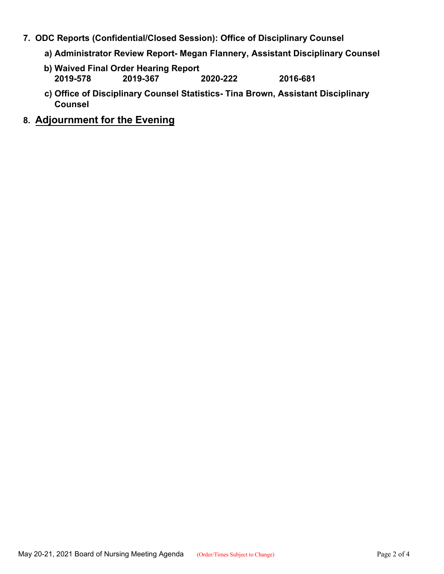- **7. ODC Reports (Confidential/Closed Session): Office of Disciplinary Counsel**
	- **a) Administrator Review Report- Megan Flannery, Assistant Disciplinary Counsel**
	- **b) Waived Final Order Hearing Report 2019-578 2019-367 2020-222 2016-681**
	- **c) Office of Disciplinary Counsel Statistics- Tina Brown, Assistant Disciplinary Counsel**
- **8. Adjournment for the Evening**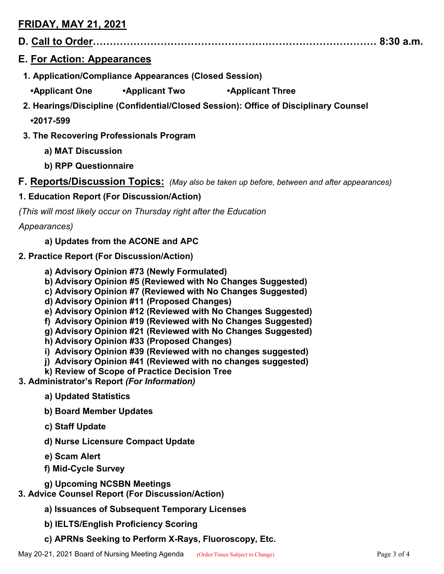## **FRIDAY, MAY 21, 2021**

**D. Call to Order………………………………………………………………………… 8:30 a.m.**

### **E. For Action: Appearances**

- **1. Application/Compliance Appearances (Closed Session)**
	- **•Applicant One •Applicant Two •Applicant Three**
- **2. Hearings/Discipline (Confidential/Closed Session): Office of Disciplinary Counsel**

**•2017-599**

- **3. The Recovering Professionals Program**
	- **a) MAT Discussion**
	- **b) RPP Questionnaire**
- **F. Reports/Discussion Topics:** *(May also be taken up before, between and after appearances)*

### **1. Education Report (For Discussion/Action)**

*(This will most likely occur on Thursday right after the Education* 

*Appearances)*

- **a) Updates from the ACONE and APC**
- **2. Practice Report (For Discussion/Action)**
	- **a) Advisory Opinion #73 (Newly Formulated)**
	- **b) Advisory Opinion #5 (Reviewed with No Changes Suggested)**
	- **c) Advisory Opinion #7 (Reviewed with No Changes Suggested)**
	- **d) Advisory Opinion #11 (Proposed Changes)**
	- **e) Advisory Opinion #12 (Reviewed with No Changes Suggested)**
	- **f) Advisory Opinion #19 (Reviewed with No Changes Suggested)**
	- **g) Advisory Opinion #21 (Reviewed with No Changes Suggested)**
	- **h) Advisory Opinion #33 (Proposed Changes)**
	- **i) Advisory Opinion #39 (Reviewed with no changes suggested)**
	- **j) Advisory Opinion #41 (Reviewed with no changes suggested)**
	- **k) Review of Scope of Practice Decision Tree**
- **3. Administrator's Report** *(For Information)*
	- **a) Updated Statistics**
	- **b) Board Member Updates**
	- **c) Staff Update**
	- **d) Nurse Licensure Compact Update**
	- **e) Scam Alert**
	- **f) Mid-Cycle Survey**
	- **g) Upcoming NCSBN Meetings**

### **3. Advice Counsel Report (For Discussion/Action)**

- **a) Issuances of Subsequent Temporary Licenses**
- **b) IELTS/English Proficiency Scoring**
- **c) APRNs Seeking to Perform X-Rays, Fluoroscopy, Etc.**